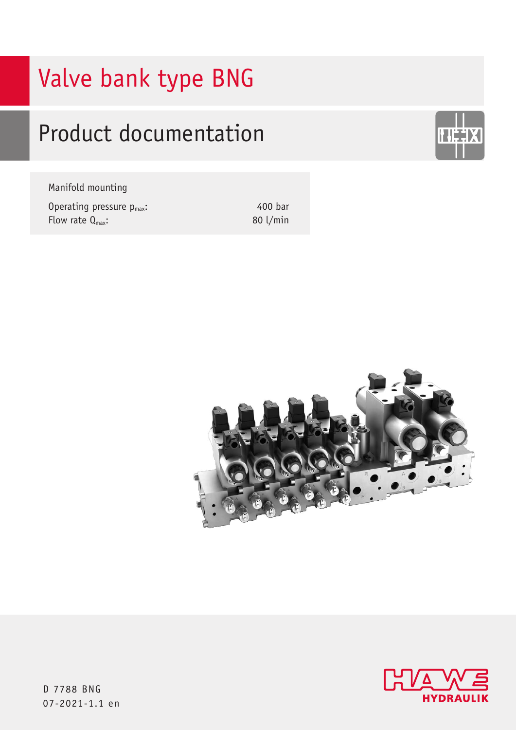# Valve bank type BNG

# Product documentation

Manifold mounting

Operating pressure p<sub>max</sub>: Flow rate  $Q_{\text{max}}$ :

400 bar 80 l/min







D 7788 BNG 07-2021-1.1 en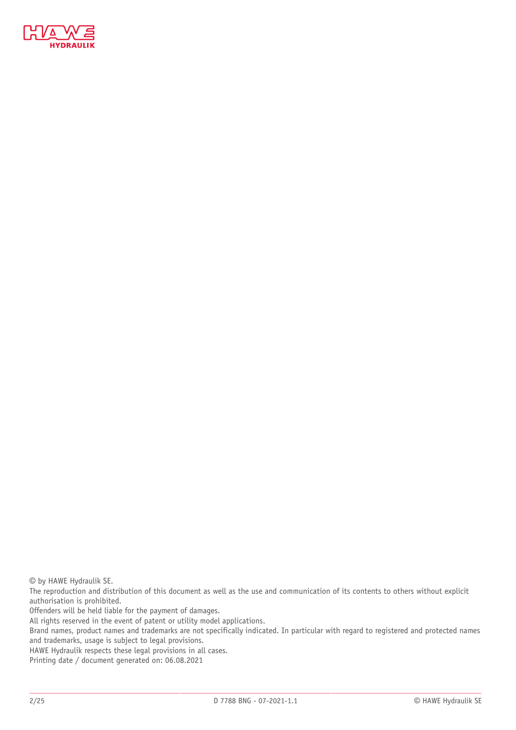

© by HAWE Hydraulik SE.

The reproduction and distribution of this document as well as the use and communication of its contents to others without explicit authorisation is prohibited.

Offenders will be held liable for the payment of damages.

All rights reserved in the event of patent or utility model applications.

Brand names, product names and trademarks are not specifically indicated. In particular with regard to registered and protected names and trademarks, usage is subject to legal provisions.

HAWE Hydraulik respects these legal provisions in all cases.

Printing date / document generated on: 06.08.2021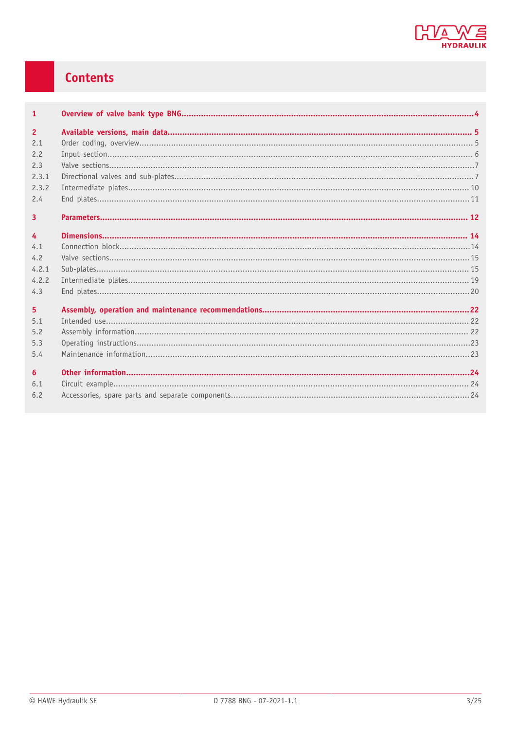

# Contents

| $\mathbf{1}$            |  |
|-------------------------|--|
| $\overline{2}$          |  |
| 2.1                     |  |
| 2.2                     |  |
| 2.3                     |  |
| 2.3.1                   |  |
| 2.3.2                   |  |
| 2.4                     |  |
| $\overline{\mathbf{3}}$ |  |
|                         |  |
| $\overline{4}$          |  |
| 4.1                     |  |
| 4.2                     |  |
| 4.2.1                   |  |
| 4.2.2                   |  |
| 4.3                     |  |
| 5 <sup>5</sup>          |  |
| 5.1                     |  |
| 5.2                     |  |
| 5.3                     |  |
| 5.4                     |  |
| 6                       |  |
| 6.1                     |  |
| 6.2                     |  |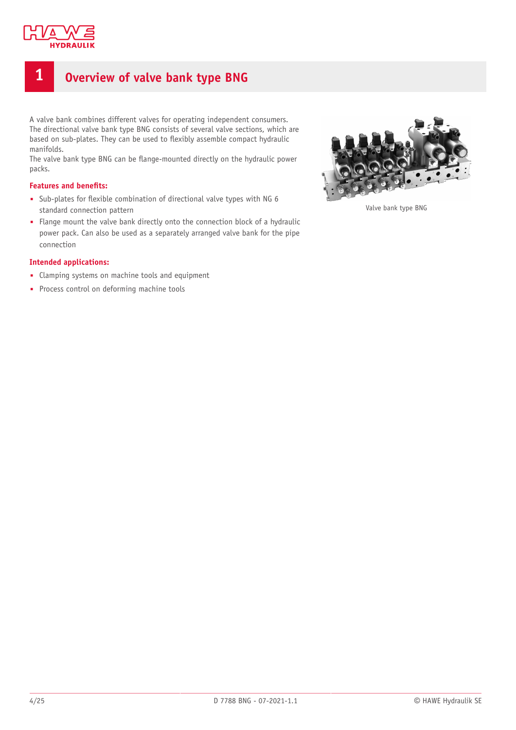

# <span id="page-3-0"></span>**1 Overview of valve bank type BNG**

A valve bank combines different valves for operating independent consumers. The directional valve bank type BNG consists of several valve sections, which are based on sub-plates. They can be used to flexibly assemble compact hydraulic manifolds.

The valve bank type BNG can be flange-mounted directly on the hydraulic power packs.

#### **Features** and **benefits:**

- Sub-plates for flexible combination of directional valve types with NG 6 standard connection pattern
- Flange mount the valve bank directly onto the connection block of a hydraulic power pack. Can also be used as a separately arranged valve bank for the pipe connection

#### **Intended applications:**

- Clamping systems on machine tools and equipment
- Process control on deforming machine tools



Valve bank type BNG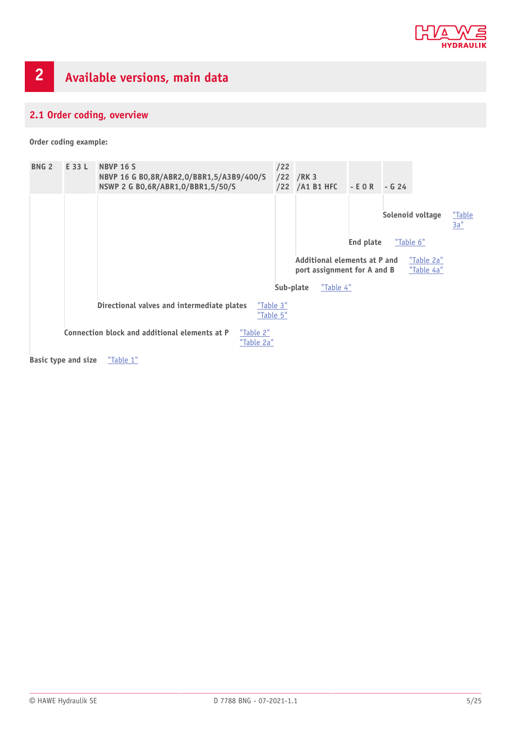

# <span id="page-4-1"></span><span id="page-4-0"></span>**2.1 Order coding, overview**

**Order coding example:**



**Basic type and size** ["Table](#page-5-3) 1"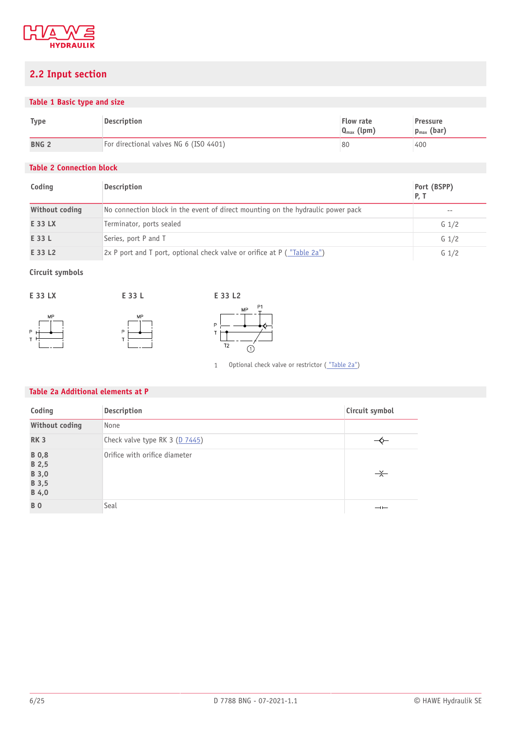

# <span id="page-5-0"></span>**2.2 Input section**

## <span id="page-5-3"></span>**Table 1 Basic type and size**

| Type             | Description                            | Flow rate<br>$Q_{\text{max}}$ (lpm) | <b>Pressure</b><br>$p_{max}$ (bar) |
|------------------|----------------------------------------|-------------------------------------|------------------------------------|
| BNG <sub>2</sub> | For directional valves NG 6 (ISO 4401) | 80                                  | 400                                |

## <span id="page-5-2"></span>**Table 2 Connection block**

| Coding         | <b>Description</b>                                                              | Port (BSPP)<br>P. T |
|----------------|---------------------------------------------------------------------------------|---------------------|
| Without coding | No connection block in the event of direct mounting on the hydraulic power pack | $- -$               |
| E 33 LX        | Terminator, ports sealed                                                        | $G_1/2$             |
| E 33 L         | Series, port P and T                                                            | G <sub>1/2</sub>    |
| E 33 L2        | $2x$ P port and T port, optional check valve or orifice at P ("Table 2a")       | G <sub>1/2</sub>    |

## **Circuit symbols**





1 Optional check valve or restrictor (["Table](#page-5-1) 2a")

#### <span id="page-5-1"></span>**Table 2a Additional elements at P**

| Coding                                           | Description                    | Circuit symbol           |
|--------------------------------------------------|--------------------------------|--------------------------|
| <b>Without coding</b>                            | None                           |                          |
| <b>RK3</b>                                       | Check valve type RK 3 (D 7445) |                          |
| <b>B</b> 0,8<br>B 2,5<br>B 3,0<br>B 3,5<br>B 4,0 | Orifice with orifice diameter  | $\rightarrow$            |
| <b>BO</b>                                        | Seal                           | $\overline{\phantom{a}}$ |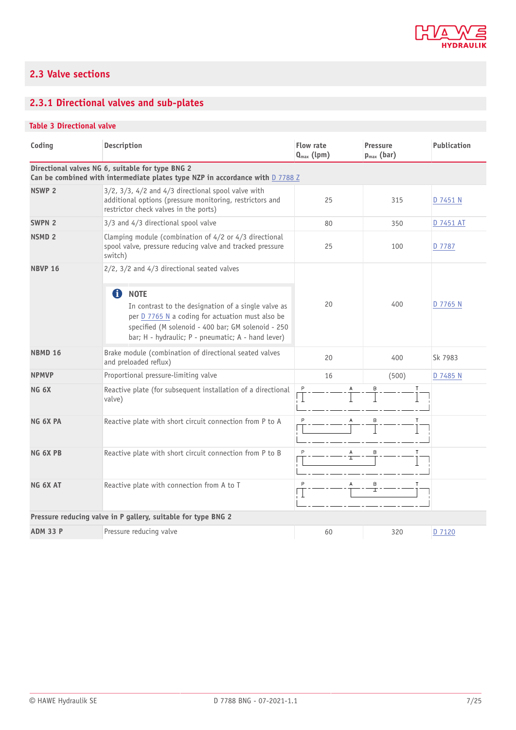

# <span id="page-6-0"></span>**2.3 Valve sections**

# <span id="page-6-1"></span>**2.3.1 Directional valves and sub-plates**

## <span id="page-6-2"></span>**Table 3 Directional valve**

| Coding                                                        | <b>Description</b>                                                                                                                                                                                                                      | Flow rate<br>$Q_{\text{max}}$ (lpm) | <b>Pressure</b><br>$p_{max}$ (bar) | <b>Publication</b> |
|---------------------------------------------------------------|-----------------------------------------------------------------------------------------------------------------------------------------------------------------------------------------------------------------------------------------|-------------------------------------|------------------------------------|--------------------|
|                                                               | Directional valves NG 6, suitable for type BNG 2<br>Can be combined with intermediate plates type NZP in accordance with D 7788 Z                                                                                                       |                                     |                                    |                    |
| <b>NSWP 2</b>                                                 | $3/2$ , $3/3$ , $4/2$ and $4/3$ directional spool valve with<br>additional options (pressure monitoring, restrictors and<br>restrictor check valves in the ports)                                                                       | 25                                  | 315                                | D 7451 N           |
| SWPN <sub>2</sub>                                             | 3/3 and 4/3 directional spool valve                                                                                                                                                                                                     | 80                                  | 350                                | D 7451 AT          |
| <b>NSMD 2</b>                                                 | Clamping module (combination of 4/2 or 4/3 directional<br>spool valve, pressure reducing valve and tracked pressure<br>switch)                                                                                                          | 25                                  | 100                                | D 7787             |
| <b>NBVP 16</b>                                                | $2/2$ , $3/2$ and $4/3$ directional seated valves                                                                                                                                                                                       |                                     |                                    |                    |
|                                                               | 0<br><b>NOTE</b><br>In contrast to the designation of a single valve as<br>per D 7765 N a coding for actuation must also be<br>specified (M solenoid - 400 bar; GM solenoid - 250<br>bar; H - hydraulic; P - pneumatic; A - hand lever) | 20                                  | 400                                | D 7765 N           |
| <b>NBMD 16</b>                                                | Brake module (combination of directional seated valves<br>and preloaded reflux)                                                                                                                                                         | 20                                  | 400                                | Sk 7983            |
| <b>NPMVP</b>                                                  | Proportional pressure-limiting valve                                                                                                                                                                                                    | 16                                  | (500)                              | D 7485 N           |
| NG <sub>6X</sub>                                              | Reactive plate (for subsequent installation of a directional<br>valve)                                                                                                                                                                  | P                                   |                                    |                    |
| NG 6X PA                                                      | Reactive plate with short circuit connection from P to A                                                                                                                                                                                | P<br>A                              | B<br>Τ                             |                    |
| NG 6X PB                                                      | Reactive plate with short circuit connection from P to B                                                                                                                                                                                | P<br>Α<br>T                         | B<br>Т                             |                    |
| NG 6X AT                                                      | Reactive plate with connection from A to T                                                                                                                                                                                              | P                                   | В<br>I                             |                    |
| Pressure reducing valve in P gallery, suitable for type BNG 2 |                                                                                                                                                                                                                                         |                                     |                                    |                    |
| <b>ADM 33 P</b>                                               | Pressure reducing valve                                                                                                                                                                                                                 | 60                                  | 320                                | D 7120             |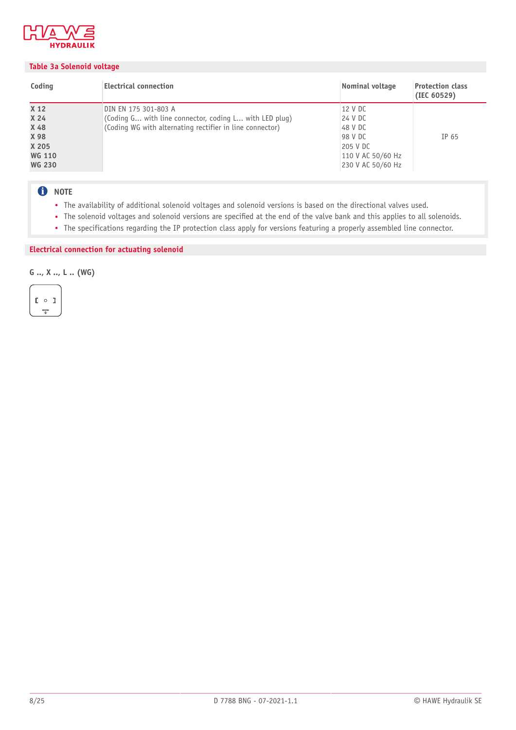

#### <span id="page-7-0"></span>**Table 3a Solenoid voltage**

| Coding                                                                             | <b>Electrical connection</b>                                                                                                               | Nominal voltage                                                                                | <b>Protection class</b><br>(IEC 60529) |
|------------------------------------------------------------------------------------|--------------------------------------------------------------------------------------------------------------------------------------------|------------------------------------------------------------------------------------------------|----------------------------------------|
| X <sub>12</sub><br>X 24<br>X 48<br>X 98<br>X 205<br><b>WG 110</b><br><b>WG 230</b> | DIN EN 175 301-803 A<br>(Coding G with line connector, coding L with LED plug)<br>(Coding WG with alternating rectifier in line connector) | 12 V DC<br>24 V DC<br>48 V DC<br>98 V DC<br>205 V DC<br>110 V AC 50/60 Hz<br>230 V AC 50/60 Hz | IP 65                                  |

# **O** NOTE

- The availability of additional solenoid voltages and solenoid versions is based on the directional valves used.
- The solenoid voltages and solenoid versions are specified at the end of the valve bank and this applies to all solenoids.
- The specifications regarding the IP protection class apply for versions featuring a properly assembled line connector.

### **Electrical connection for actuating solenoid**

**G .., X .., L .. (WG)**

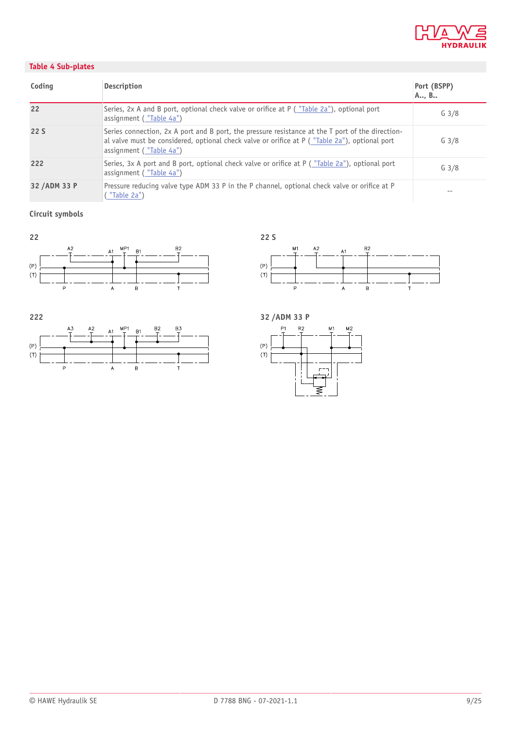

## <span id="page-8-0"></span>**Table 4 Sub-plates**

| Coding        | <b>Description</b>                                                                                                                                                                                                           | Port (BSPP)<br>A, B |
|---------------|------------------------------------------------------------------------------------------------------------------------------------------------------------------------------------------------------------------------------|---------------------|
| 22            | Series, 2x A and B port, optional check valve or orifice at P ("Table 2a"), optional port<br>assignment ("Table 4a")                                                                                                         | G <sub>3/8</sub>    |
| 22S           | Series connection, 2x A port and B port, the pressure resistance at the T port of the direction-<br>al valve must be considered, optional check valve or orifice at P ("Table 2a"), optional port<br>assignment ("Table 4a") | G <sub>3/8</sub>    |
| 222           | Series, 3x A port and B port, optional check valve or orifice at P ("Table 2a"), optional port<br>assignment ("Table 4a")                                                                                                    | $G_3/8$             |
| 32 / ADM 33 P | Pressure reducing valve type ADM 33 P in the P channel, optional check valve or orifice at P<br>"Table 2a")                                                                                                                  |                     |

# **Circuit symbols**









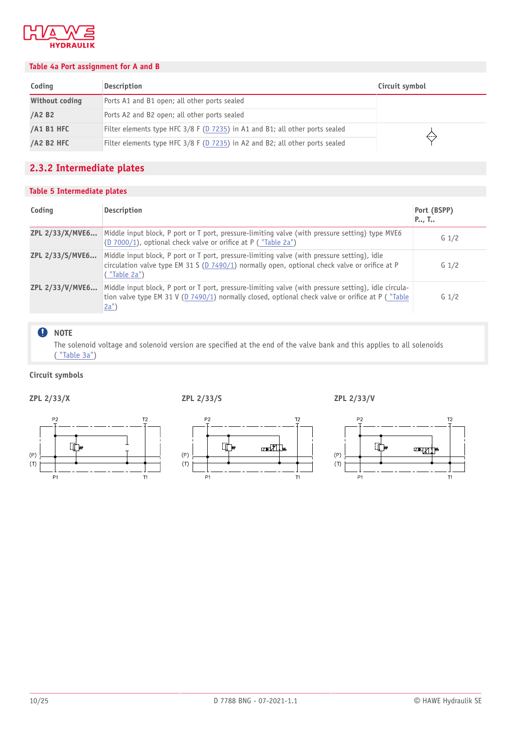

#### <span id="page-9-1"></span>**Table 4a Port assignment for A and B**

| Coding               | <b>Description</b>                                                           | Circuit symbol |
|----------------------|------------------------------------------------------------------------------|----------------|
| Without coding       | Ports A1 and B1 open; all other ports sealed                                 |                |
| $/AA$ B <sub>2</sub> | Ports A2 and B2 open; all other ports sealed                                 |                |
| /A1 B1 HFC           | Filter elements type HFC 3/8 F (D 7235) in A1 and B1; all other ports sealed | $\leftarrow$   |
| <b>/A2 B2 HFC</b>    | Filter elements type HFC 3/8 F (D 7235) in A2 and B2; all other ports sealed |                |

# <span id="page-9-0"></span>**2.3.2 Intermediate plates**

#### <span id="page-9-2"></span>**Table 5 Intermediate plates**

| Coding          | <b>Description</b>                                                                                                                                                                                                                | Port (BSPP)<br>P, T |
|-----------------|-----------------------------------------------------------------------------------------------------------------------------------------------------------------------------------------------------------------------------------|---------------------|
| ZPL 2/33/X/MVE6 | Middle input block, P port or T port, pressure-limiting valve (with pressure setting) type MVE6<br>(D 7000/1), optional check valve or orifice at $P$ ( "Table 2a")                                                               | $G_1/2$             |
| ZPL 2/33/S/MVE6 | Middle input block, P port or T port, pressure-limiting valve (with pressure setting), idle<br>circulation valve type EM 31 S ( $D$ 7490/1) normally open, optional check valve or orifice at P<br>("Table 2a")                   | G <sub>1/2</sub>    |
| ZPL 2/33/V/MVE6 | Middle input block, P port or T port, pressure-limiting valve (with pressure setting), idle circula-<br>tion valve type EM 31 V (D 7490/1) normally closed, optional check valve or orifice at P ("Table")<br>$\underline{2a}$ ") | G <sub>1/2</sub>    |

#### **O** NOTE

The solenoid voltage and solenoid version are specified at the end of the valve bank and this applies to all solenoids ( ["Table](#page-7-0) 3a")

#### **Circuit symbols**

์ มี ใ

 $P<sub>1</sub>$ 

 $(P)$ 

 $(T)$ 



 $(P)$ 

 $(T)$ 

 $T1$ 

 $P<sub>2</sub>$ 

 $P<sub>1</sub>$ 

**EL**™



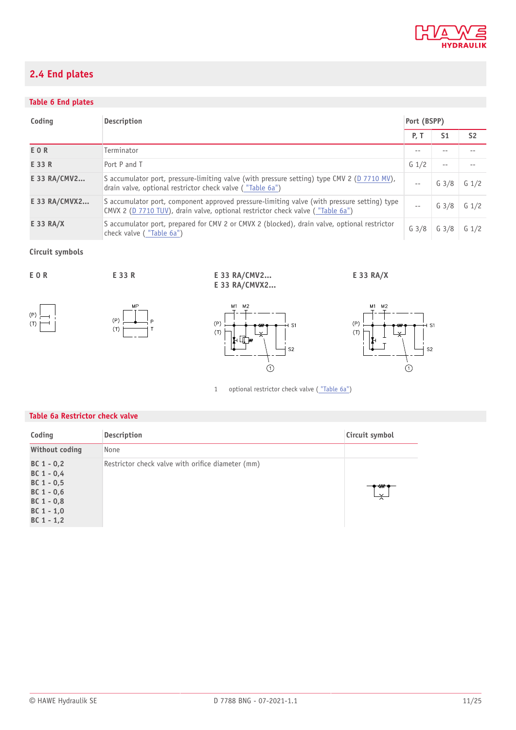

# <span id="page-10-0"></span>**2.4 End plates**

# <span id="page-10-1"></span>**Table 6 End plates**

| Coding        | Port (BSPP)<br><b>Description</b>                                                                                                                                             |                  |                  |                  |
|---------------|-------------------------------------------------------------------------------------------------------------------------------------------------------------------------------|------------------|------------------|------------------|
|               |                                                                                                                                                                               | <b>P.T</b>       | S <sub>1</sub>   | S <sub>2</sub>   |
| E O R         | Terminator                                                                                                                                                                    | --               |                  |                  |
| E 33 R        | Port P and T                                                                                                                                                                  | $G_1/2$          | $- -$            |                  |
| E 33 RA/CMV2  | S accumulator port, pressure-limiting valve (with pressure setting) type CMV 2 (D 7710 MV),<br>drain valve, optional restrictor check valve ("Table 6a")                      | $- -$            | G <sub>3/8</sub> | G <sub>1/2</sub> |
| E 33 RA/CMVX2 | S accumulator port, component approved pressure-limiting valve (with pressure setting) type<br>CMVX 2 (D 7710 TUV), drain valve, optional restrictor check valve ("Table 6a") | $\sim$ $-$       | G <sub>3/8</sub> | $G_1/2$          |
| E 33 RA/X     | S accumulator port, prepared for CMV 2 or CMVX 2 (blocked), drain valve, optional restrictor<br>check valve ("Table 6a")                                                      | G <sub>3/8</sub> | G <sub>3/8</sub> | G <sub>1/2</sub> |

## **Circuit symbols**



 $(P)$ 

 $(T)$ 









 $M1$  $M<sub>2</sub>$ 

 $(P)$ 

 $(T)$ 





1 optional restrictor check valve (["Table](#page-10-2) 6a")

 $\bigcap$ 

 $S^2$ 

 $s<sub>2</sub>$ 

### <span id="page-10-2"></span>**Table 6a Restrictor check valve**

| Coding                                                                                                       | <b>Description</b>                                | Circuit symbol               |
|--------------------------------------------------------------------------------------------------------------|---------------------------------------------------|------------------------------|
| <b>Without coding</b>                                                                                        | None                                              |                              |
| $BC 1 - 0.2$<br>$BC 1 - 0.4$<br>$BC 1 - 0.5$<br>$BC 1 - 0,6$<br>$BC 1 - 0,8$<br>$BC 1 - 1,0$<br>$BC 1 - 1,2$ | Restrictor check valve with orifice diameter (mm) | ⇜<br>$\overline{\mathsf{X}}$ |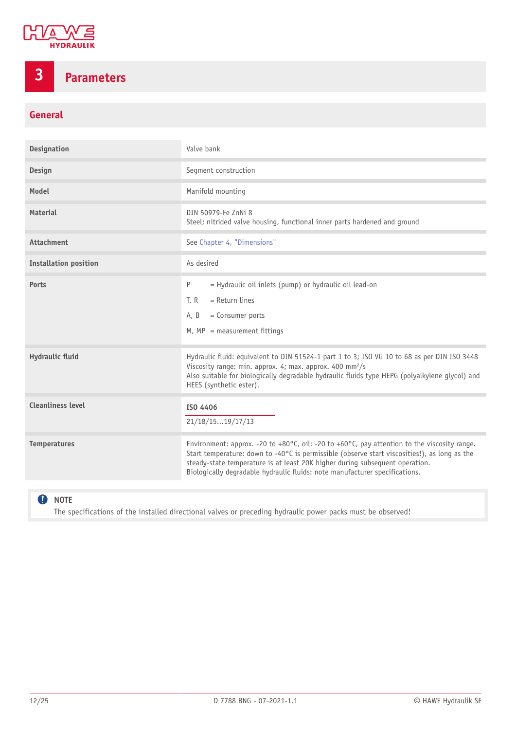

# <span id="page-11-0"></span>**3 Parameters**

# **General**

| <b>Designation</b>           | Valve bank                                                                                                                                                                                                                                                                                                                                                                       |
|------------------------------|----------------------------------------------------------------------------------------------------------------------------------------------------------------------------------------------------------------------------------------------------------------------------------------------------------------------------------------------------------------------------------|
| Design                       | Segment construction                                                                                                                                                                                                                                                                                                                                                             |
| Model                        | Manifold mounting                                                                                                                                                                                                                                                                                                                                                                |
| <b>Material</b>              | DIN 50979-Fe ZnNi 8<br>Steel; nitrided valve housing, functional inner parts hardened and ground                                                                                                                                                                                                                                                                                 |
| <b>Attachment</b>            | See Chapter 4, "Dimensions"                                                                                                                                                                                                                                                                                                                                                      |
| <b>Installation position</b> | As desired                                                                                                                                                                                                                                                                                                                                                                       |
| Ports                        | = Hydraulic oil inlets (pump) or hydraulic oil lead-on<br>P<br>$=$ Return lines<br>T.R<br>= Consumer ports<br>A. B<br>$M$ , MP = measurement fittings                                                                                                                                                                                                                            |
| <b>Hydraulic fluid</b>       | Hydraulic fluid: equivalent to DIN 51524-1 part 1 to 3; ISO VG 10 to 68 as per DIN ISO 3448<br>Viscosity range: min. approx. 4; max. approx. 400 mm <sup>2</sup> /s<br>Also suitable for biologically degradable hydraulic fluids type HEPG (polyalkylene glycol) and<br>HEES (synthetic ester).                                                                                 |
| <b>Cleanliness level</b>     | ISO 4406<br>21/18/1519/17/13                                                                                                                                                                                                                                                                                                                                                     |
| <b>Temperatures</b>          | Environment: approx. -20 to +80 $^{\circ}$ C, oil: -20 to +60 $^{\circ}$ C, pay attention to the viscosity range.<br>Start temperature: down to -40°C is permissible (observe start viscosities!), as long as the<br>steady-state temperature is at least 20K higher during subsequent operation.<br>Biologically degradable hydraulic fluids: note manufacturer specifications. |

# **O** NOTE

The specifications of the installed directional valves or preceding hydraulic power packs must be observed!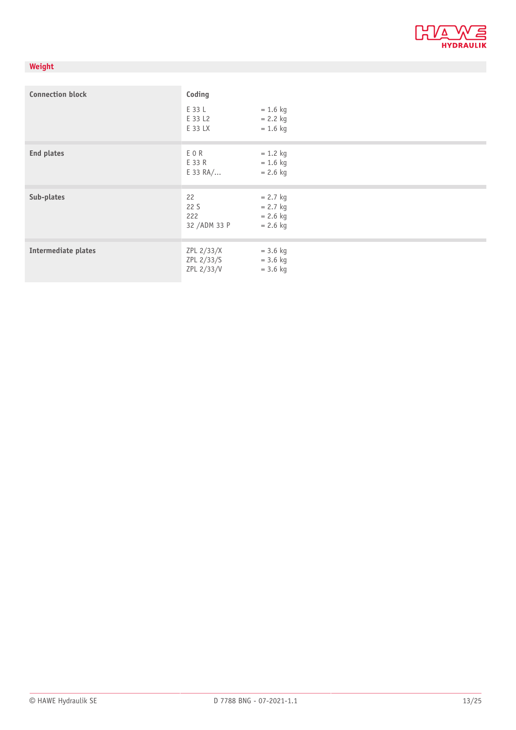

# **Weight**

| <b>Connection block</b> | Coding                                 |                                                      |
|-------------------------|----------------------------------------|------------------------------------------------------|
|                         | E 33 L<br>E 33 L2<br>E 33 LX           | $= 1.6$ kg<br>$= 2.2$ kg<br>$= 1.6$ kg               |
| End plates              | EOR<br>E 33 R<br>$E$ 33 RA/            | $= 1.2$ kg<br>$= 1.6$ kg<br>$= 2.6$ kg               |
| Sub-plates              | 22<br>22 S<br>222<br>32 /ADM 33 P      | $= 2.7$ kg<br>$= 2.7$ kg<br>$= 2.6$ kg<br>$= 2.6$ kg |
| Intermediate plates     | ZPL 2/33/X<br>ZPL 2/33/S<br>ZPL 2/33/V | $= 3.6$ kg<br>$= 3.6$ kg<br>$= 3.6$ kg               |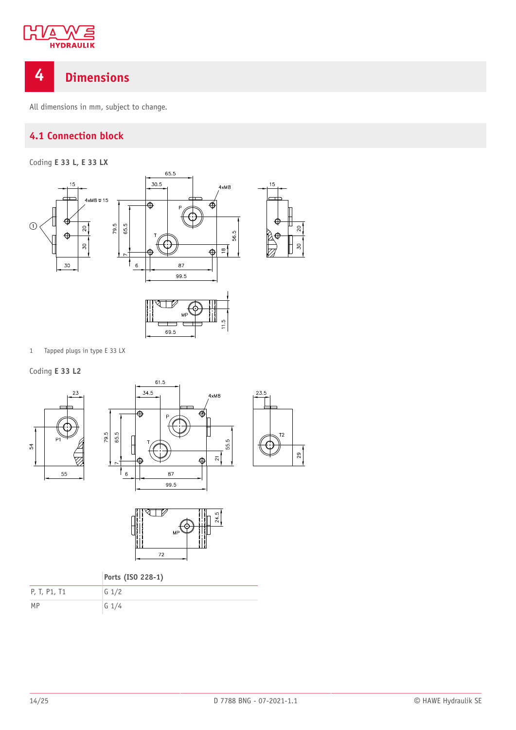

# <span id="page-13-0"></span>**4 Dimensions**

<span id="page-13-1"></span>All dimensions in mm, subject to change.

# **4.1 Connection block**

Coding **E 33 L, E 33 LX**



1 Tapped plugs in type E 33 LX

Coding **E 33 L2**







 $4xM8$ 

55.5

 $\overline{\mathbf{z}}$ 

**Ports (ISO 228-1)**

| P, T, P1, T1 | $G \frac{1}{2}$ |
|--------------|-----------------|
| MP           | $G \frac{1}{4}$ |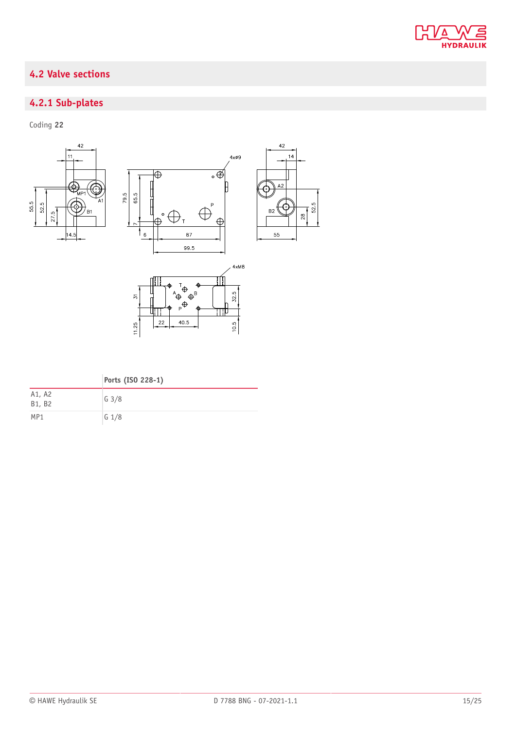

# <span id="page-14-0"></span>**4.2 Valve sections**

# <span id="page-14-1"></span>**4.2.1 Sub-plates**

Coding **22**

A1, A2



| Ports (ISO 228-1) |
|-------------------|
| $G$ $3/8$         |

| B1, B2 | $  -$           |
|--------|-----------------|
| MP1    | $G \frac{1}{8}$ |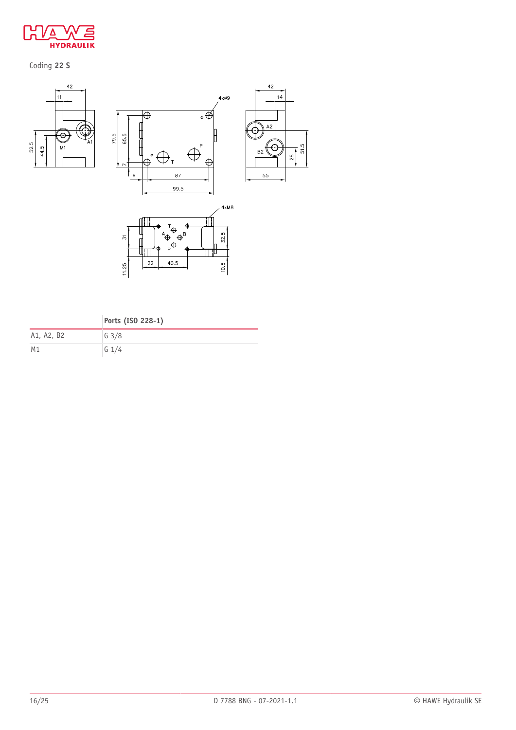

Coding **22 S**



79.5







|  |  |  | Ports (ISO 228-1) |  |
|--|--|--|-------------------|--|
|--|--|--|-------------------|--|

| A1, A2, B2 | $G \frac{3}{8}$ |
|------------|-----------------|
| M1         | $G \frac{1}{4}$ |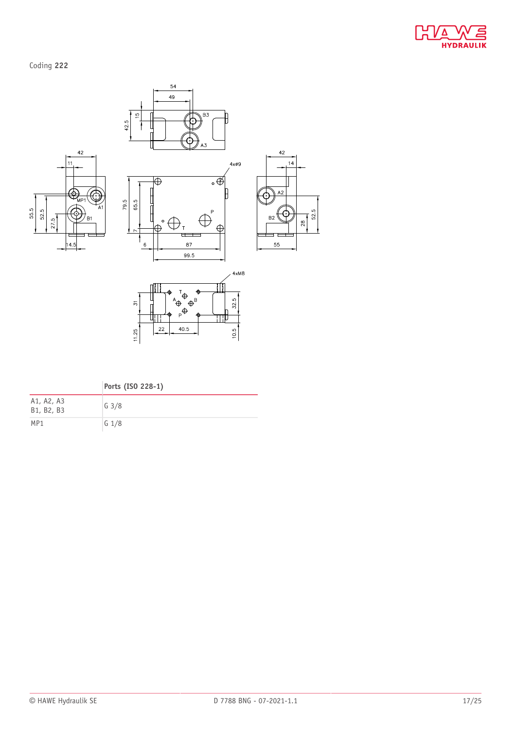

Coding **222**



|                          | Ports (ISO 228-1) |
|--------------------------|-------------------|
| A1, A2, A3<br>B1, B2, B3 | G <sub>3/8</sub>  |
| MP1                      | $G_1/8$           |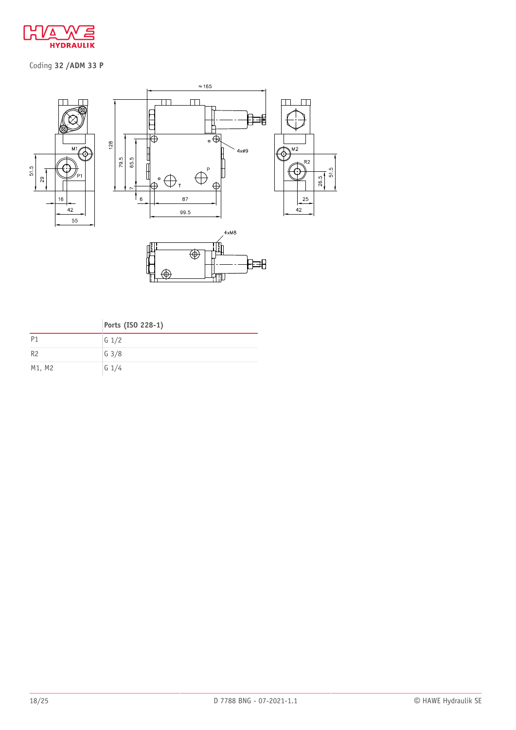

# Coding **32 /ADM 33 P**







|                | Ports (ISO 228-1) |
|----------------|-------------------|
| P <sub>1</sub> | $G_1/2$           |
| R <sub>2</sub> | G <sub>3/8</sub>  |
| M1, M2         | $G$ 1/4           |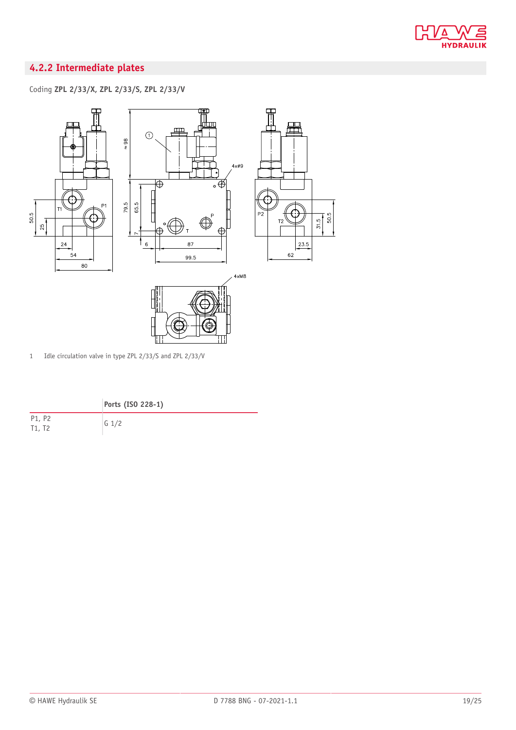

# <span id="page-18-0"></span>**4.2.2 Intermediate plates**

Coding **ZPL 2/33/X, ZPL 2/33/S, ZPL 2/33/V**



1 Idle circulation valve in type ZPL 2/33/S and ZPL 2/33/V

|  |  |  | Ports (ISO 228-1) |  |
|--|--|--|-------------------|--|
|--|--|--|-------------------|--|

P1, P2  $T1, T2$  G 1/2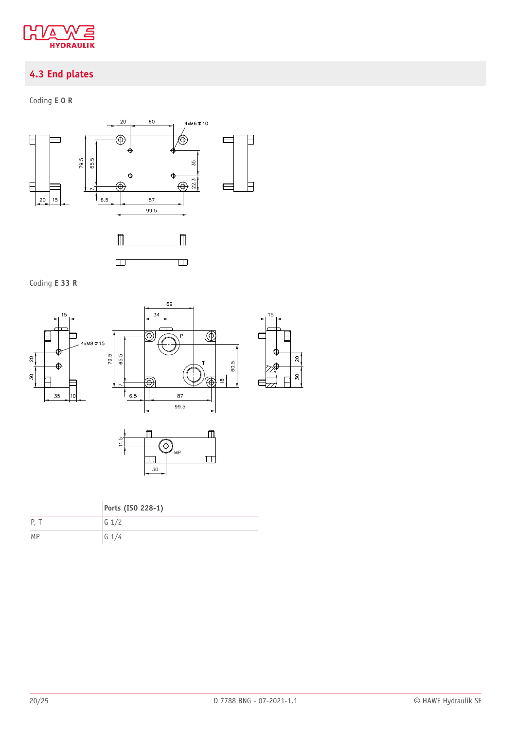

# <span id="page-19-0"></span>**4.3 End plates**

Coding **E 0 R**



# Coding **E 33 R**





|      | Ports (ISO 228-1) |
|------|-------------------|
| P. T | G $1/2$           |
| MP   | $G$ 1/4           |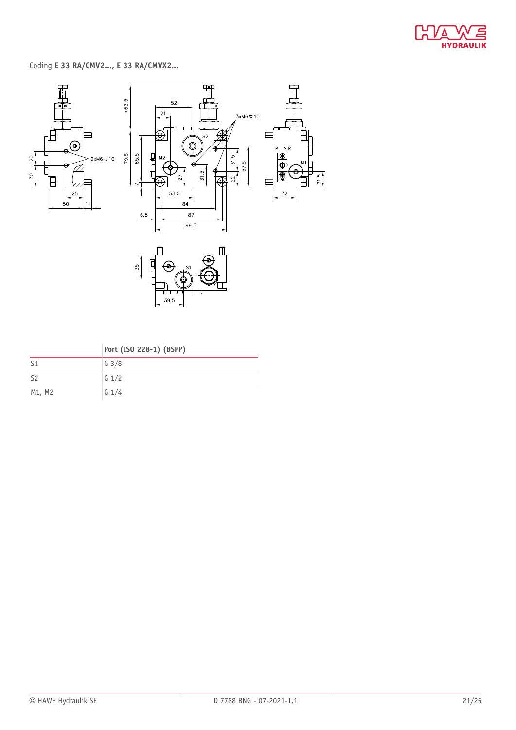

Coding **E 33 RA/CMV2..., E 33 RA/CMVX2...**



 $\frac{1}{39.5}$ 

|  | Port (ISO 228-1) (BSPP) |  |
|--|-------------------------|--|

| S <sub>1</sub> | $G \frac{3}{8}$ |
|----------------|-----------------|
| S <sub>2</sub> | $G \frac{1}{2}$ |
| M1, M2         | $G$ 1/4         |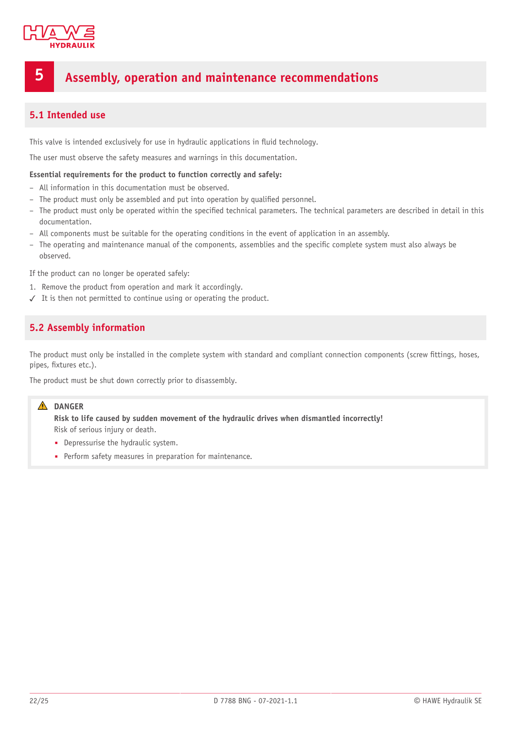

# <span id="page-21-0"></span>**5 Assembly, operation and maintenance recommendations**

# <span id="page-21-1"></span>**5.1 Intended use**

This valve is intended exclusively for use in hydraulic applications in fluid technology.

The user must observe the safety measures and warnings in this documentation.

#### **Essential requirements for the product to function correctly and safely:**

- All information in this documentation must be observed.
- The product must only be assembled and put into operation by qualified personnel.
- The product must only be operated within the speci5ed technical parameters. The technical parameters are described in detail in this documentation.
- All components must be suitable for the operating conditions in the event of application in an assembly.
- The operating and maintenance manual of the components, assemblies and the speci5c complete system must also always be observed.

If the product can no longer be operated safely:

- 1. Remove the product from operation and mark it accordingly.
- <span id="page-21-2"></span>✓ It is then not permitted to continue using or operating the product.

# **5.2 Assembly information**

The product must only be installed in the complete system with standard and compliant connection components (screw fittings, hoses, pipes, fixtures etc.).

The product must be shut down correctly prior to disassembly.

### **A** DANGER

**Risk to life caused by sudden movement of the hydraulic drives when dismantled incorrectly!** Risk of serious injury or death.

- Depressurise the hydraulic system.
- Perform safety measures in preparation for maintenance.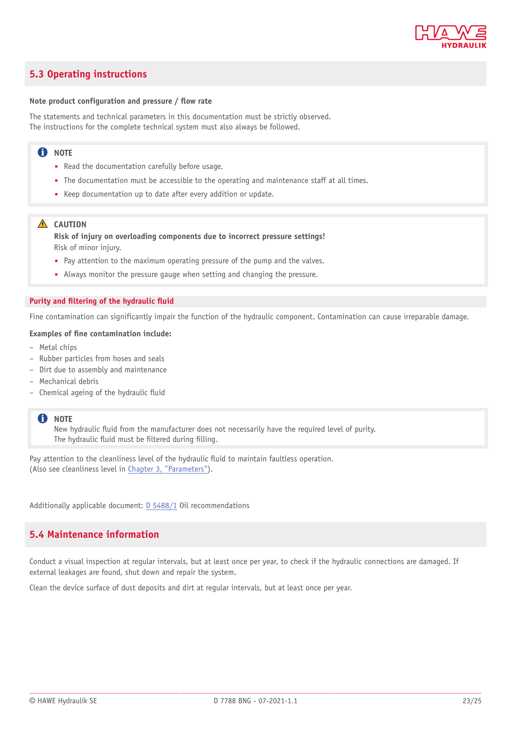

# <span id="page-22-0"></span>**5.3 Operating instructions**

#### **Note product configuration** and **pressure** / **flow** rate

The statements and technical parameters in this documentation must be strictly observed. The instructions for the complete technical system must also always be followed.

## **f** NOTE

- Read the documentation carefully before usage.
- The documentation must be accessible to the operating and maintenance staff at all times.
- Keep documentation up to date after every addition or update.

#### **A** CAUTION

**Risk of injury on overloading components due to incorrect pressure settings!** Risk of minor injury.

- Pay attention to the maximum operating pressure of the pump and the valves.
- Always monitor the pressure gauge when setting and changing the pressure.

#### **Purity** and **filtering** of the hydraulic fluid

Fine contamination can significantly impair the function of the hydraulic component. Contamination can cause irreparable damage.

#### **Examples of \*ne contamination include:**

- Metal chips
- Rubber particles from hoses and seals
- Dirt due to assembly and maintenance
- Mechanical debris
- Chemical ageing of the hydraulic fluid

#### **f** NOTE

New hydraulic fluid from the manufacturer does not necessarily have the required level of purity. The hydraulic fluid must be filtered during filling.

Pay attention to the cleanliness level of the hydraulic fluid to maintain faultless operation. (Also see cleanliness level in Chapter 3, ["Parameters"](#page-11-0)).

<span id="page-22-1"></span>Additionally applicable document: [D 5488/1](http://downloads.hawe.com/5/4/D54881-en.pdf) Oil recommendations

## **5.4 Maintenance information**

Conduct a visual inspection at regular intervals, but at least once per year, to check if the hydraulic connections are damaged. If external leakages are found, shut down and repair the system.

Clean the device surface of dust deposits and dirt at regular intervals, but at least once per year.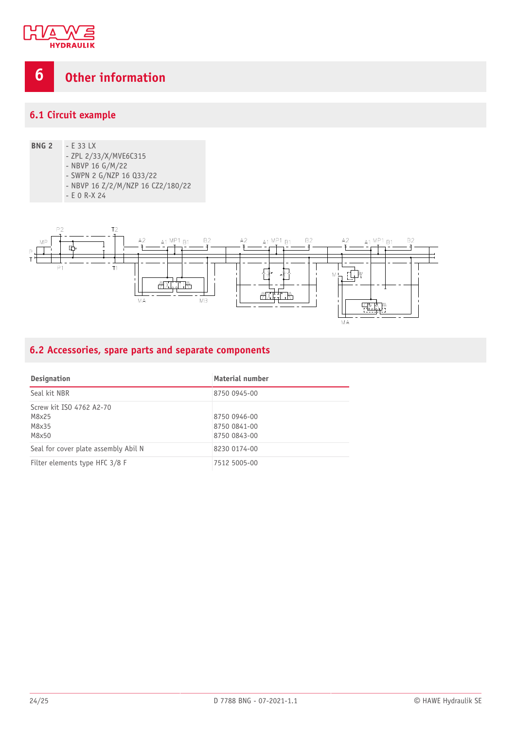

<span id="page-23-0"></span>

# <span id="page-23-1"></span>**6.1 Circuit example**

- **BNG 2** E 33 LX - ZPL 2/33/X/MVE6C315 - NBVP 16 G/M/22
	-
	- SWPN 2 G/NZP 16 Q33/22
	- NBVP 16 Z/2/M/NZP 16 CZ2/180/22
	- E 0 R-X 24



# <span id="page-23-2"></span>**6.2 Accessories, spare parts and separate components**

| <b>Designation</b>                                  | Material number                              |
|-----------------------------------------------------|----------------------------------------------|
| Seal kit NBR                                        | 8750 0945-00                                 |
| Screw kit ISO 4762 A2-70<br>M8x25<br>M8x35<br>M8x50 | 8750 0946-00<br>8750 0841-00<br>8750 0843-00 |
| Seal for cover plate assembly Abil N                | 8230 0174-00                                 |
| Filter elements type HFC 3/8 F                      | 7512 5005-00                                 |